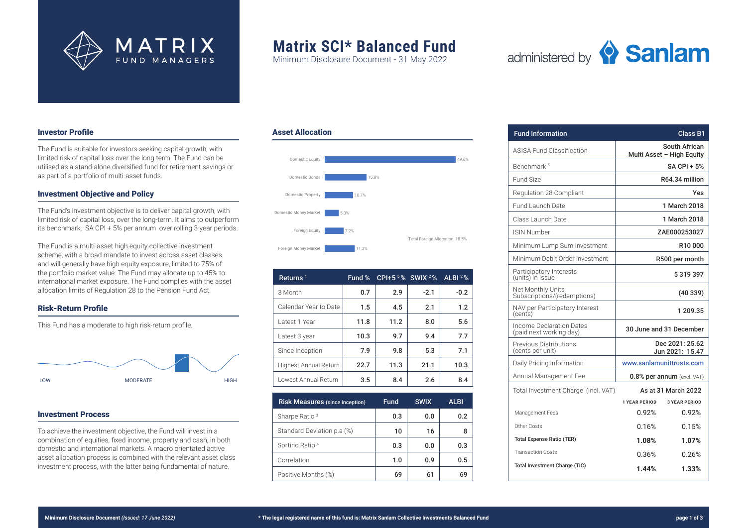

# **Matrix SCI\* Balanced Fund**

Minimum Disclosure Document - 31 May 2022

Asset Allocation



# Investor Profile

The Fund is suitable for investors seeking capital growth, with limited risk of capital loss over the long term. The Fund can be utilised as a stand-alone diversified fund for retirement savings or as part of a portfolio of multi-asset funds.

# Investment Objective and Policy

The Fund's investment objective is to deliver capital growth, with limited risk of capital loss, over the long-term. It aims to outperform its benchmark, SA CPI + 5% per annum over rolling 3 year periods.

The Fund is a multi-asset high equity collective investment scheme, with a broad mandate to invest across asset classes and will generally have high equity exposure, limited to 75% of the portfolio market value. The Fund may allocate up to 45% to international market exposure. The Fund complies with the asset allocation limits of Regulation 28 to the Pension Fund Act.

# Risk-Return Profile

This Fund has a moderate to high risk-return profile.



# Investment Process

To achieve the investment objective, the Fund will invest in a combination of equities, fixed income, property and cash, in both domestic and international markets. A macro orientated active asset allocation process is combined with the relevant asset class investment process, with the latter being fundamental of nature.



| Returns <sup>1</sup>  | Fund % | CPI+5 $5\%$ SWIX $2\%$ |        | ALBI $2%$ |
|-----------------------|--------|------------------------|--------|-----------|
| 3 Month               | 0.7    | 2.9                    | $-2.1$ | $-0.2$    |
| Calendar Year to Date | 1.5    | 4.5                    | 2.1    | 1.2       |
| Latest 1 Year         | 11.8   | 11.2                   | 8.0    | 5.6       |
| Latest 3 year         | 10.3   | 9.7                    | 9.4    | 7.7       |
| Since Inception       | 7.9    | 9.8                    | 5.3    | 7.1       |
| Highest Annual Return | 22.7   | 11.3                   | 21.1   | 10.3      |
| Lowest Annual Return  | 3.5    | 8.4                    | 2.6    | 8.4       |

| <b>Risk Measures</b> (since inception) | <b>Fund</b> | <b>SWIX</b> | <b>ALBI</b> |
|----------------------------------------|-------------|-------------|-------------|
| Sharpe Ratio <sup>3</sup>              | 0.3         | 0.0         | 0.2         |
| Standard Deviation p.a (%)             | 10          | 16          | 8           |
| Sortino Ratio 4                        | 0.3         | 0.0         | 0.3         |
| Correlation                            | 1.0         | 0.9         | 0.5         |
| Positive Months (%)                    | 69          | 61          | 69          |

| <b>Fund Information</b>                             | Class B1                           |                      |  |
|-----------------------------------------------------|------------------------------------|----------------------|--|
| <b>ASISA Fund Classification</b>                    | Multi Asset - High Equity          | South African        |  |
| Benchmark <sup>5</sup>                              | SA CPI + 5%                        |                      |  |
| Fund Size                                           |                                    | R64.34 million       |  |
| Regulation 28 Compliant                             |                                    | Yes                  |  |
| Fund Launch Date                                    | 1 March 2018                       |                      |  |
| Class Launch Date                                   | 1 March 2018                       |                      |  |
| <b>ISIN Number</b>                                  | ZAE000253027                       |                      |  |
| Minimum Lump Sum Investment                         | R10000                             |                      |  |
| Minimum Debit Order investment                      | R500 per month                     |                      |  |
| Participatory Interests<br>(units) in Issue         | 5319397                            |                      |  |
| Net Monthly Units<br>Subscriptions/(redemptions)    | (40339)                            |                      |  |
| NAV per Participatory Interest<br>(cents)           | 1 209.35                           |                      |  |
| Income Declaration Dates<br>(paid next working day) | 30 June and 31 December            |                      |  |
| Previous Distributions<br>(cents per unit)          | Dec 2021: 25.62<br>Jun 2021: 15.47 |                      |  |
| Daily Pricing Information                           | www.sanlamunittrusts.com           |                      |  |
| Annual Management Fee                               | 0.8% per annum (excl. VAT)         |                      |  |
| Total Investment Charge (incl. VAT)                 | As at 31 March 2022                |                      |  |
|                                                     | <b>1 YEAR PERIOD</b>               | <b>3 YEAR PERIOD</b> |  |
| Management Fees                                     | 0.92%                              | 0.92%                |  |
| Other Costs                                         | 0.16%                              | 0.15%                |  |
| <b>Total Expense Ratio (TER)</b>                    | $1.08\%$                           | 1.07%                |  |
| <b>Transaction Costs</b>                            | 0.36%                              | 0.26%                |  |
| <b>Total Investment Charge (TIC)</b>                | 1.44%                              | 1.33%                |  |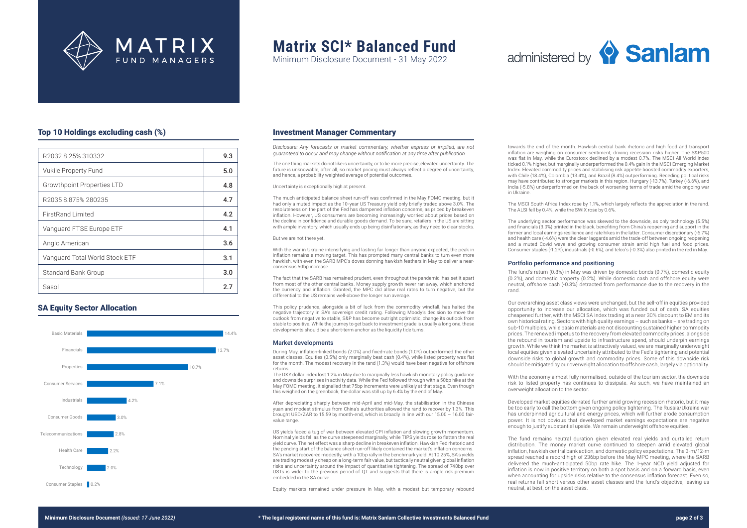

# **Matrix SCI\* Balanced Fund**

Minimum Disclosure Document - 31 May 2022

# administered by **Sanlam**

# Top 10 Holdings excluding cash (%)

| R2032 8.25% 310332             | 9.3 |
|--------------------------------|-----|
| Vukile Property Fund           | 5.0 |
| Growthpoint Properties LTD     | 4.8 |
| R2035 8.875% 280235            | 4.7 |
| FirstRand Limited              | 4.2 |
| Vanguard FTSE Europe ETF       | 4.1 |
| Anglo American                 | 3.6 |
| Vanguard Total World Stock ETF | 3.1 |
| Standard Bank Group            | 3.0 |
| Sasol                          | 2.7 |

# SA Equity Sector Allocation



### Investment Manager Commentary

*Disclosure: Any forecasts or market commentary, whether express or implied, are not guaranteed to occur and may change without notification at any time after publication.* 

The one thing markets do not like is uncertainty, or to be more precise, elevated uncertainty. The future is unknowable, after all, so market pricing must always reflect a degree of uncertainty, and hence, a probability weighted average of potential outcomes.

Uncertainty is exceptionally high at present.

The much anticipated balance sheet run-off was confirmed in the May FOMC meeting, but it had only a muted impact as the 10-year US Treasury yield only briefly traded above 3.0%. The resoluteness on the part of the Fed has dampened inflation concerns, as priced by breakeven inflation. However, US consumers are becoming increasingly worried about prices based on the decline in confidence and durable goods demand. To be sure, retailers in the US are sitting with ample inventory, which usually ends up being disinflationary, as they need to clear stocks.

#### But we are not there yet.

With the war in Ukraine intensifying and lasting far longer than anyone expected, the peak in inflation remains a moving target. This has prompted many central banks to turn even more hawkish, with even the SARB MPC's doves donning hawkish feathers in May to deliver a nearconsensus 50bp increase.

The fact that the SARB has remained prudent, even throughout the pandemic, has set it apart from most of the other central banks. Money supply growth never ran away, which anchored the currency and inflation. Granted, the MPC did allow real rates to turn negative, but the differential to the US remains well-above the longer run average.

This policy prudence, alongside a bit of luck from the commodity windfall, has halted the negative trajectory in SA's sovereign credit rating. Following Moody's decision to move the outlook from negative to stable, S&P has become outright optimistic, change its outlook from stable to positive. While the journey to get back to investment grade is usually a long one, these developments should be a short-term anchor as the liquidity tide turns.

#### Market developments

During May, inflation-linked bonds (2.0%) and fixed-rate bonds (1.0%) outperformed the other asset classes. Equities (0.5%) only marginally beat cash (0.4%), while listed property was flat for the month. The modest recovery in the rand (1.3%) would have been negative for offshore returns.

The DXY dollar index lost 1.2% in May due to marginally less hawkish monetary policy guidance and downside surprises in activity data. While the Fed followed through with a 50bp hike at the May FOMC meeting, it signalled that 75bp increments were unlikely at that stage. Even though this weighed on the greenback, the dollar was still up by 6.4% by the end of May.

After depreciating sharply between mid-April and mid-May, the stabilisation in the Chinese yuan and modest stimulus from China's authorities allowed the rand to recover by 1.3%. This brought USD/ZAR to 15.59 by month-end, which is broadly in line with our 15.00 – 16.00 fairvalue range.

US yields faced a tug of war between elevated CPI inflation and slowing growth momentum. Nominal yields fell as the curve steepened marginally, while TIPS yields rose to flatten the real yield curve. The net effect was a sharp decline in breakeven inflation. Hawkish Fed rhetoric and the pending start of the balance sheet run-off likely contained the market's inflation concerns. SA's market recovered modestly, with a 10bp rally in the benchmark yield. At 10.25%, SA's yields are trading modestly cheap on a long-term fair value, but tactically neutral given global inflation risks and uncertainty around the impact of quantitative tightening. The spread of 740bp over USTs is wider to the previous period of QT and suggests that there is ample risk premium embedded in the SA curve.

Equity markets remained under pressure in May, with a modest but temporary rebound

towards the end of the month. Hawkish central bank rhetoric and high food and transport inflation are weighing on consumer sentiment, driving recession risks higher. The S&P500 was flat in May, while the Eurostoxx declined by a modest 0.7%. The MSCI All World Index ticked 0.1% higher, but marginally underperformed the 0.4% gain in the MSCI Emerging Market Index. Elevated commodity prices and stabilising risk appetite boosted commodity exporters, with Chile (18.4%), Colombia (13.4%), and Brazil (8.4%) outperforming. Receding political risks may have contributed to stronger markets in this region. Hungary (-13.7%), Turkey (-6.6%), and India (-5.8%) underperformed on the back of worsening terms of trade amid the ongoing war in Ukraine.

The MSCI South Africa Index rose by 1.1%, which largely reflects the appreciation in the rand. The ALSI fell by 0.4%, while the SWIX rose by 0.6%.

The underlying sector performance was skewed to the downside, as only technology (5.5%) and financials (3.0%) printed in the black, benefiting from China's reopening and support in the former and local earnings resilience and rate hikes in the latter. Consumer discretionary (-6.7%) and health care (-4.6%) were the clear laggards amid the trade-off between ongoing reopening and a muted Covid wave and growing consumer strain amid high fuel and food prices. Consumer staples (-1.2%), industrials (-0.6%), and telco's (-0.3%) also printed in the red in May.

### Portfolio performance and positioning

The fund's return (0.8%) in May was driven by domestic bonds (0.7%), domestic equity (0.2%), and domestic property (0.2%). While domestic cash and offshore equity were neutral, offshore cash (-0.3%) detracted from performance due to the recovery in the rand.

Our overarching asset class views were unchanged, but the sell-off in equities provided opportunity to increase our allocation, which was funded out of cash. SA equities cheapened further, with the MSCI SA Index trading at a near 30% discount to EM and its own historical rating. Sectors with high quality earnings – such as banks – are trading on sub-10 multiples, while basic materials are not discounting sustained higher commodity prices. The renewed impetus to the recovery from elevated commodity prices, alongside the rebound in tourism and upside to infrastructure spend, should underpin earnings growth. While we think the market is attractively valued, we are marginally underweight local equities given elevated uncertainty attributed to the Fed's tightening and potential downside risks to global growth and commodity prices. Some of this downside risk should be mitigated by our overweight allocation to offshore cash, largely via optionality.

With the economy almost fully normalised, outside of the tourism sector, the downside risk to listed property has continues to dissipate. As such, we have maintained an overweight allocation to the sector.

Developed market equities de-rated further amid growing recession rhetoric, but it may be too early to call the bottom given ongoing policy tightening. The Russia/Ukraine war has underpinned agricultural and energy prices, which will further erode consumption power. It is not obvious that developed market earnings expectations are negative enough to justify substantial upside. We remain underweight offshore equities.

The fund remains neutral duration given elevated real yields and curtailed return distribution. The money market curve continued to steepen amid elevated global inflation, hawkish central bank action, and domestic policy expectations. The 3-m/12-m spread reached a record high of 236bp before the May MPC meeting, where the SARB delivered the much-anticipated 50bp rate hike. The 1-year NCD yield adjusted for inflation is now in positive territory on both a spot basis and on a forward basis, even when accounting for upside risks relative to the consensus inflation forecast. Even so, real returns fall short versus other asset classes and the fund's objective, leaving us neutral, at best, on the asset class.